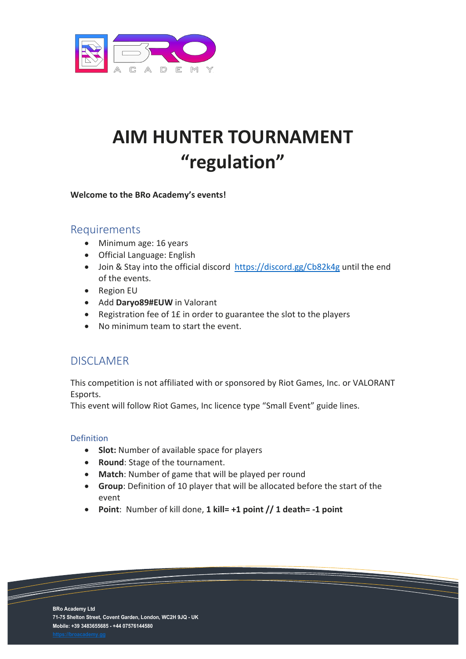

# **AIM HUNTER TOURNAMENT "regulation"**

#### **Welcome to the BRo Academy's events!**

## Requirements

- Minimum age: 16 years
- Official Language: English
- Join & Stay into the official discord <https://discord.gg/Cb82k4g> until the end of the events.
- Region EU
- Add **Daryo89#EUW** in Valorant
- Registration fee of 1£ in order to guarantee the slot to the players
- No minimum team to start the event.

## DISCLAMER

This competition is not affiliated with or sponsored by Riot Games, Inc. or VALORANT Esports.

This event will follow Riot Games, Inc licence type "Small Event" guide lines.

#### Definition

- **Slot:** Number of available space for players
- **Round**: Stage of the tournament.
- **Match**: Number of game that will be played per round
- **Group**: Definition of 10 player that will be allocated before the start of the event
- **Point**: Number of kill done, **1 kill= +1 point // 1 death= -1 point**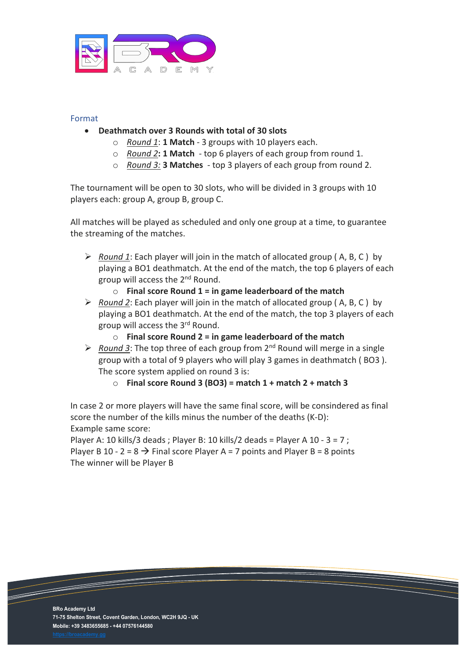

#### Format

- **Deathmatch over 3 Rounds with total of 30 slots**
	- o *Round 1*: **1 Match** 3 groups with 10 players each.
	- o *Round 2***: 1 Match**  top 6 players of each group from round 1.
	- o *Round 3:* **3 Matches** top 3 players of each group from round 2.

The tournament will be open to 30 slots, who will be divided in 3 groups with 10 players each: group A, group B, group C.

All matches will be played as scheduled and only one group at a time, to guarantee the streaming of the matches.

- *Round 1*: Each player will join in the match of allocated group ( A, B, C ) by playing a BO1 deathmatch. At the end of the match, the top 6 players of each group will access the 2nd Round.
	- o **Final score Round 1 = in game leaderboard of the match**
- *Round 2*: Each player will join in the match of allocated group ( A, B, C ) by playing a BO1 deathmatch. At the end of the match, the top 3 players of each group will access the 3rd Round.
	- o **Final score Round 2 = in game leaderboard of the match**
- $\triangleright$  Round 3: The top three of each group from 2<sup>nd</sup> Round will merge in a single group with a total of 9 players who will play 3 games in deathmatch ( BO3 ). The score system applied on round 3 is:

o **Final score Round 3 (BO3) = match 1 + match 2 + match 3** 

In case 2 or more players will have the same final score, will be consindered as final score the number of the kills minus the number of the deaths (K-D): Example same score:

Player A: 10 kills/3 deads; Player B: 10 kills/2 deads = Player A 10 - 3 = 7; Player B 10 - 2 = 8  $\rightarrow$  Final score Player A = 7 points and Player B = 8 points The winner will be Player B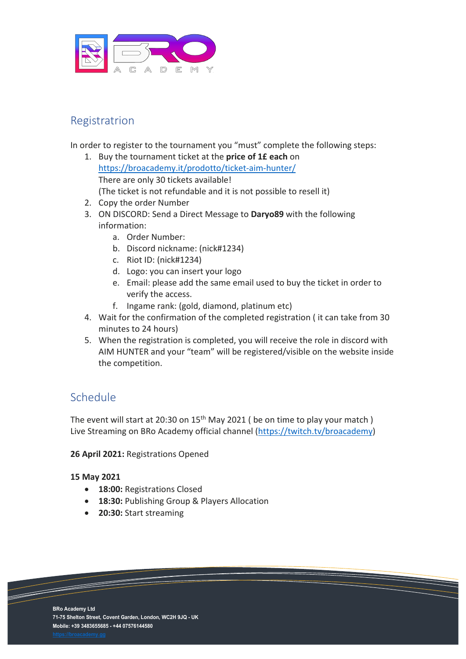

# Registratrion

In order to register to the tournament you "must" complete the following steps:

- 1. Buy the tournament ticket at the **price of 1£ each** on <https://broacademy.it/prodotto/ticket-aim-hunter/> There are only 30 tickets available! (The ticket is not refundable and it is not possible to resell it)
- 2. Copy the order Number
- 3. ON DISCORD: Send a Direct Message to **Daryo89** with the following information:
	- a. Order Number:
	- b. Discord nickname: (nick#1234)
	- c. Riot ID: (nick#1234)
	- d. Logo: you can insert your logo
	- e. Email: please add the same email used to buy the ticket in order to verify the access.
	- f. Ingame rank: (gold, diamond, platinum etc)
- 4. Wait for the confirmation of the completed registration ( it can take from 30 minutes to 24 hours)
- 5. When the registration is completed, you will receive the role in discord with AIM HUNTER and your "team" will be registered/visible on the website inside the competition.

# Schedule

The event will start at 20:30 on 15<sup>th</sup> May 2021 ( be on time to play your match ) Live Streaming on BRo Academy official channel [\(https://twitch.tv/broacademy\)](https://twitch.tv/broacademy)

#### **26 April 2021:** Registrations Opened

#### **15 May 2021**

- **18:00:** Registrations Closed
- **18:30:** Publishing Group & Players Allocation
- **20:30:** Start streaming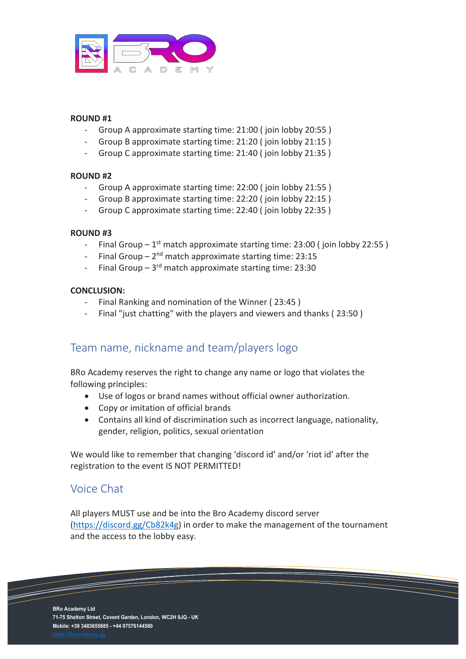

#### **ROUND #1**

- Group A approximate starting time: 21:00 (join lobby 20:55)
- Group B approximate starting time: 21:20 (ioin lobby 21:15)
- Group C approximate starting time: 21:40 (join lobby 21:35)

#### **ROUND #2**

- Group A approximate starting time: 22:00 ( join lobby 21:55 )
- Group B approximate starting time: 22:20 (join lobby 22:15)
- Group C approximate starting time: 22:40 (join lobby 22:35)

#### **ROUND #3**

- Final Group  $-1^{st}$  match approximate starting time: 23:00 (join lobby 22:55)
- Final Group  $2<sup>nd</sup>$  match approximate starting time: 23:15
- Final Group  $-3^{rd}$  match approximate starting time: 23:30

#### **CONCLUSION:**

- Final Ranking and nomination of the Winner (23:45)
- Final "just chatting" with the players and viewers and thanks (23:50)

## Team name, nickname and team/players logo

BRo Academy reserves the right to change any name or logo that violates the following principles:

- Use of logos or brand names without official owner authorization.
- Copy or imitation of official brands
- Contains all kind of discrimination such as incorrect language, nationality, gender, religion, politics, sexual orientation

We would like to remember that changing 'discord id' and/or 'riot id' after the registration to the event IS NOT PERMITTED!

## Voice Chat

All players MUST use and be into the Bro Academy discord server [\(https://discord.gg/Cb82k4g\)](https://discord.gg/Cb82k4g) in order to make the management of the tournament and the access to the lobby easy.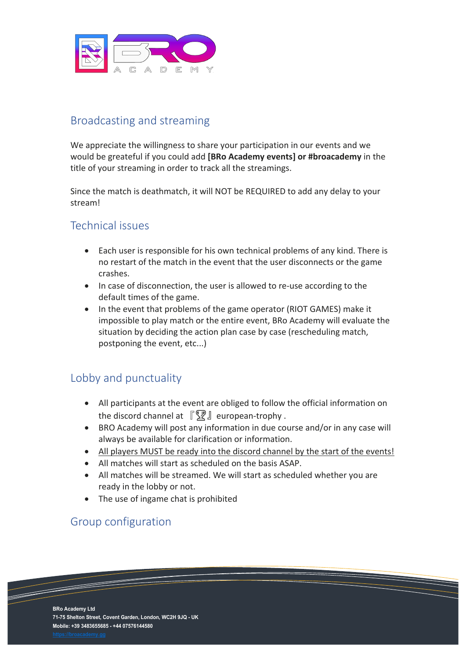

# Broadcasting and streaming

We appreciate the willingness to share your participation in our events and we would be greateful if you could add **[BRo Academy events] or #broacademy** in the title of your streaming in order to track all the streamings.

Since the match is deathmatch, it will NOT be REQUIRED to add any delay to your stream!

## Technical issues

- Each user is responsible for his own technical problems of any kind. There is no restart of the match in the event that the user disconnects or the game crashes.
- In case of disconnection, the user is allowed to re-use according to the default times of the game.
- In the event that problems of the game operator (RIOT GAMES) make it impossible to play match or the entire event, BRo Academy will evaluate the situation by deciding the action plan case by case (rescheduling match, postponing the event, etc...)

# Lobby and punctuality

- All participants at the event are obliged to follow the official information on the discord channel at  $\sqrt{\mathbb{R}}$  european-trophy.
- BRO Academy will post any information in due course and/or in any case will always be available for clarification or information.
- All players MUST be ready into the discord channel by the start of the events!
- All matches will start as scheduled on the basis ASAP.
- All matches will be streamed. We will start as scheduled whether you are ready in the lobby or not.
- The use of ingame chat is prohibited

## Group configuration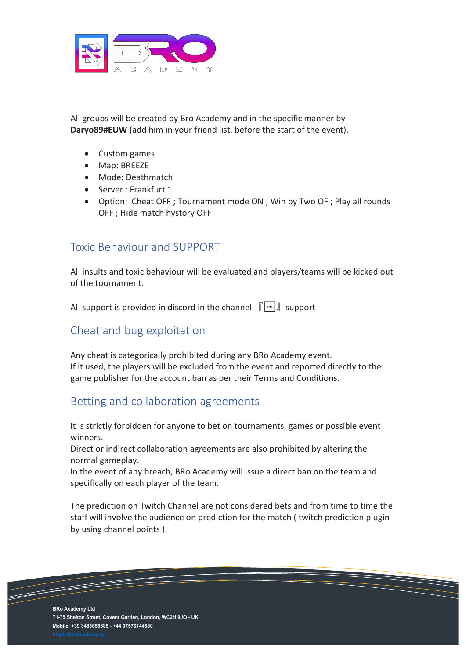

All groups will be created by Bro Academy and in the specific manner by **Daryo89#EUW** (add him in your friend list, before the start of the event).

- Custom games
- Map: BREEZE
- Mode: Deathmatch
- Server : Frankfurt 1
- Option: Cheat OFF ; Tournament mode ON ; Win by Two OF ; Play all rounds OFF ; Hide match hystory OFF

## Toxic Behaviour and SUPPORT

All insults and toxic behaviour will be evaluated and players/teams will be kicked out of the tournament.

All support is provided in discord in the channel  $\int \sqrt{1-\cos(1)}$  support

## Cheat and bug exploitation

Any cheat is categorically prohibited during any BRo Academy event. If it used, the players will be excluded from the event and reported directly to the game publisher for the account ban as per their Terms and Conditions.

## Betting and collaboration agreements

It is strictly forbidden for anyone to bet on tournaments, games or possible event winners.

Direct or indirect collaboration agreements are also prohibited by altering the normal gameplay.

In the event of any breach, BRo Academy will issue a direct ban on the team and specifically on each player of the team.

The prediction on Twitch Channel are not considered bets and from time to time the staff will involve the audience on prediction for the match ( twitch prediction plugin by using channel points ).